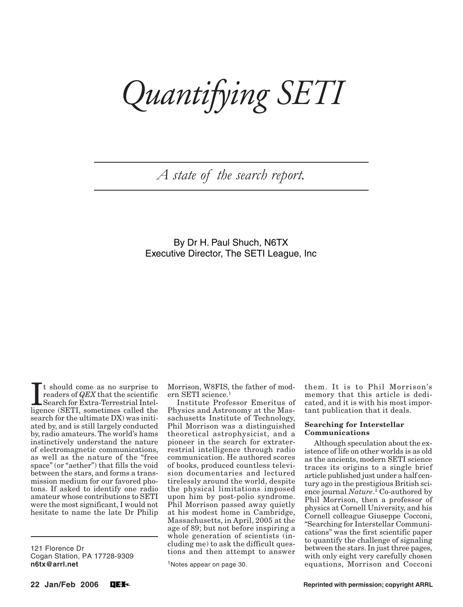*Quantifying SETI*

*A state of the search report.*

By Dr H. Paul Shuch, N6TX Executive Director, The SETI League, Inc

 $\prod$ t should come as no surprise to<br>readers of  $QEX$  that the scientific<br>Search for Extra-Terrestrial Intel-<br>ligence (SETI, sometimes called the t should come as no surprise to readers of *QEX* that the scientific Search for Extra-Terrestrial Intelsearch for the ultimate DX) was initiated by, and is still largely conducted by, radio amateurs. The world's hams instinctively understand the nature of electromagnetic communications, as well as the nature of the "free space" (or "aether") that fills the void between the stars, and forms a transmission medium for our favored photons. If asked to identify one radio amateur whose contributions to SETI were the most significant, I would not hesitate to name the late Dr Philip

121 Florence Dr Cogan Station, PA 17728-9309 **n6tx@arrl.net**

Morrison, W8FIS, the father of modern SETI science.1

Institute Professor Emeritus of Physics and Astronomy at the Massachusetts Institute of Technology, Phil Morrison was a distinguished theoretical astrophysicist, and a pioneer in the search for extraterrestrial intelligence through radio communication. He authored scores of books, produced countless television documentaries and lectured tirelessly around the world, despite the physical limitations imposed upon him by post-polio syndrome. Phil Morrison passed away quietly at his modest home in Cambridge, Massachusetts, in April, 2005 at the age of 89; but not before inspiring a whole generation of scientists (including me) to ask the difficult questions and then attempt to answer

them. It is to Phil Morrison's memory that this article is dedicated, and it is with his most important publication that it deals.

## **Searching for Interstellar Communications**

Although speculation about the existence of life on other worlds is as old as the ancients, modern SETI science traces its origins to a single brief article published just under a half century ago in the prestigious British science journal *Nature*.<sup>2</sup> Co-authored by Phil Morrison, then a professor of physics at Cornell University, and his Cornell colleague Giuseppe Cocconi, "Searching for Interstellar Communications" was the first scientific paper to quantify the challenge of signaling between the stars. In just three pages, with only eight very carefully chosen <sup>1</sup>Notes appear on page 30. **equations, Morrison and Cocconi**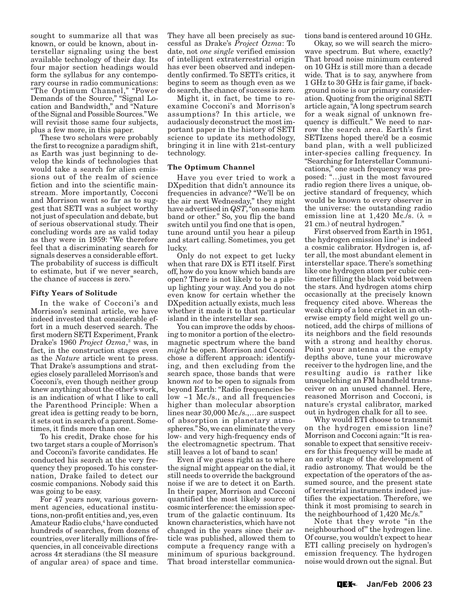sought to summarize all that was known, or could be known, about interstellar signaling using the best available technology of their day. Its four major section headings would form the syllabus for any contemporary course in radio communications: "The Optimum Channel," "Power Demands of the Source," "Signal Location and Bandwidth," and "Nature of the Signal and Possible Sources." We will revisit those same four subjects, plus a few more, in this paper.

These two scholars were probably the first to recognize a paradigm shift, as Earth was just beginning to develop the kinds of technologies that would take a search for alien emissions out of the realm of science fiction and into the scientific mainstream. More importantly, Cocconi and Morrison went so far as to suggest that SETI was a subject worthy not just of speculation and debate, but of serious observational study. Their concluding words are as valid today as they were in 1959: "We therefore feel that a discriminating search for signals deserves a considerable effort. The probability of success is difficult to estimate, but if we never search, the chance of success is zero."

#### **Fifty Years of Solitude**

In the wake of Cocconi's and Morrison's seminal article, we have indeed invested that considerable effort in a much deserved search. The first modern SETI Experiment, Frank Drake's 1960 *Project Ozma*, 3 was, in fact, in the construction stages even as the *Nature* article went to press. That Drake's assumptions and strategies closely paralleled Morrison's and Cocconi's, even though neither group knew anything about the other's work, is an indication of what I like to call the Parenthood Principle: When a great idea is getting ready to be born, it sets out in search of a parent. Sometimes, it finds more than one.

To his credit, Drake chose for his two target stars a couple of Morrison's and Cocconi's favorite candidates. He conducted his search at the very frequency they proposed. To his consternation, Drake failed to detect our cosmic companions. Nobody said this was going to be easy.

For 47 years now, various government agencies, educational institutions, non-profit entities and, yes, even Amateur Radio clubs,<sup>4</sup> have conducted hundreds of searches, from dozens of countries, over literally millions of frequencies, in all conceivable directions across  $4\pi$  steradians (the SI measure of angular area) of space and time.

They have all been precisely as successful as Drake's *Project Ozma*: To date, not *one single* verified emission of intelligent extraterrestrial origin has ever been observed and independently confirmed. To SETI's critics, it begins to seem as though even as we do search, the chance of success is zero.

Might it, in fact, be time to reexamine Cocconi's and Morrison's assumptions? In this article, we audaciously deconstruct the most important paper in the history of SETI science to update its methodology, bringing it in line with 21st-century technology.

### **The Optimum Channel**

Have you ever tried to work a DXpedition that didn't announce its frequencies in advance? "We'll be on the air next Wednesday," they might have advertised in *QST*, "on some ham band or other." So, you flip the band switch until you find one that is open, tune around until you hear a pileup and start calling. Sometimes, you get lucky.

Only do not expect to get lucky when that rare DX is ETI itself. First off, how do you know which bands are open? There is not likely to be a pileup lighting your way. And you do not even know for certain whether the DXpedition actually exists, much less whether it made it to that particular island in the interstellar sea.

You can improve the odds by choosing to monitor a portion of the electromagnetic spectrum where the band *might* be open. Morrison and Cocconi chose a different approach: identifying, and then excluding from the search space, those bands that were known *not* to be open to signals from beyond Earth: "Radio frequencies below ~1 Mc./s., and all frequencies higher than molecular absorption lines near 30,000 Mc./s.,…are suspect of absorption in planetary atmospheres." So, we can eliminate the very low- and very high-frequency ends of the electromagnetic spectrum. That still leaves a lot of band to scan!

Even if we guess right as to where the signal might appear on the dial, it still needs to override the background noise if we are to detect it on Earth. In their paper, Morrison and Cocconi quantified the most likely source of cosmic interference: the emission spectrum of the galactic continuum. Its known characteristics, which have not changed in the years since their article was published, allowed them to compute a frequency range with a minimum of spurious background. That broad interstellar communications band is centered around 10 GHz.

Okay, so we will search the microwave spectrum. But where, exactly? That broad noise minimum centered on 10 GHz is still more than a decade wide. That is to say, anywhere from 1 GHz to 30 GHz is fair game, if background noise is our primary consideration. Quoting from the original SETI article again, "A long spectrum search for a weak signal of unknown frequency is difficult." We need to narrow the search area. Earth's first SETIzens hoped there'd be a cosmic band plan, with a well publicized inter-species calling frequency. In "Searching for Interstellar Communications," one such frequency was proposed: "…just in the most favoured radio region there lives a unique, objective standard of frequency, which would be known to every observer in the universe: the outstanding radio emission line at 1,420 Mc./s.  $(\lambda =$ 21 cm.) of neutral hydrogen."

First observed from Earth in 1951, the hydrogen emission line<sup>5</sup> is indeed a cosmic calibrator. Hydrogen is, after all, the most abundant element in interstellar space. There's something like one hydrogen atom per cubic centimeter filling the black void between the stars. And hydrogen atoms chirp occasionally at the precisely known frequency cited above. Whereas the weak chirp of a lone cricket in an otherwise empty field might well go unnoticed, add the chirps of millions of its neighbors and the field resounds with a strong and healthy chorus. Point your antenna at the empty depths above, tune your microwave receiver to the hydrogen line, and the resulting audio is rather like unsquelching an FM handheld transceiver on an unused channel. Here, reasoned Morrison and Cocconi, is nature's crystal calibrator, marked out in hydrogen chalk for all to see.

Why would ETI choose to transmit on the hydrogen emission line? Morrison and Cocconi again: "It is reasonable to expect that sensitive receivers for this frequency will be made at an early stage of the development of radio astronomy. That would be the expectation of the operators of the assumed source, and the present state of terrestrial instruments indeed justifies the expectation. Therefore, we think it most promising to search in the neighbourhood of 1,420 Mc./s."

Note that they wrote "in the neighbourhood of" the hydrogen line. Of course, you wouldn't expect to hear ETI calling precisely on hydrogen's emission frequency. The hydrogen noise would drown out the signal. But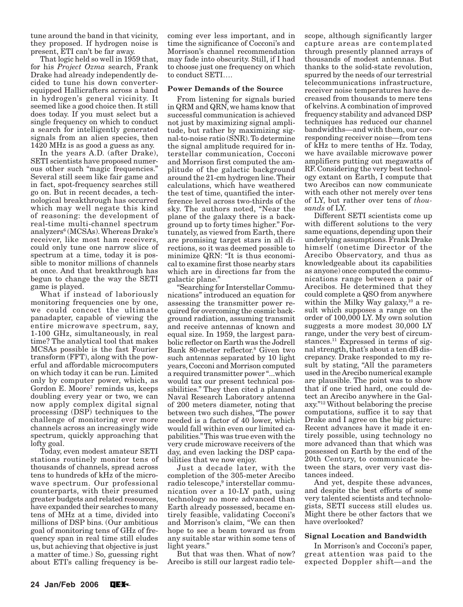tune around the band in that vicinity, they proposed. If hydrogen noise is present, ETI can't be far away.

That logic held so well in 1959 that, for his *Project Ozma* search, Frank Drake had already independently decided to tune his down converterequipped Hallicrafters across a band in hydrogen's general vicinity. It seemed like a good choice then. It still does today. If you must select but a single frequency on which to conduct a search for intelligently generated signals from an alien species, then 1420 MHz is as good a guess as any.

In the years A.D. (after Drake), SETI scientists have proposed numerous other such "magic frequencies." Several still seem like fair game and in fact, spot-frequency searches still go on. But in recent decades, a technological breakthrough has occurred which may well negate this kind of reasoning: the development of real-time multi-channel spectrum analyzers<sup>6</sup> (MCSAs). Whereas Drake's receiver, like most ham receivers, could only tune one narrow slice of spectrum at a time, today it is possible to monitor millions of channels at once. And that breakthrough has begun to change the way the SETI game is played.

What if instead of laboriously monitoring frequencies one by one, we could concoct the ultimate panadapter, capable of viewing the entire microwave spectrum, say, 1-100 GHz, simultaneously, in real time? The analytical tool that makes MCSAs possible is the fast Fourier transform (FFT), along with the powerful and affordable microcomputers on which today it can be run. Limited only by computer power, which, as Gordon E. Moore<sup>7</sup> reminds us, keeps doubling every year or two, we can now apply complex digital signal processing (DSP) techniques to the challenge of monitoring ever more channels across an increasingly wide spectrum, quickly approaching that lofty goal.

Today, even modest amateur SETI stations routinely monitor tens of thousands of channels, spread across tens to hundreds of kHz of the microwave spectrum. Our professional counterparts, with their presumed greater budgets and related resources, have expanded their searches to many tens of MHz at a time, divided into millions of DSP bins. (Our ambitious goal of monitoring tens of GHz of frequency span in real time still eludes us, but achieving that objective is just a matter of time.) So, guessing right about ETI's calling frequency is be-

coming ever less important, and in time the significance of Cocconi's and Morrison's channel recommendation may fade into obscurity. Still, if I had to choose just one frequency on which to conduct SETI….

### **Power Demands of the Source**

From listening for signals buried in QRM and QRN, we hams know that successful communication is achieved not just by maximizing signal amplitude, but rather by maximizing signal-to-noise ratio (SNR). To determine the signal amplitude required for interstellar communication, Cocconi and Morrison first computed the amplitude of the galactic background around the 21-cm hydrogen line. Their calculations, which have weathered the test of time, quantified the interference level across two-thirds of the sky. The authors noted, "Near the plane of the galaxy there is a background up to forty times higher." Fortunately, as viewed from Earth, there are promising target stars in all directions, so it was deemed possible to minimize QRN: "It is thus economical to examine first those nearby stars which are in directions far from the galactic plane."

"Searching for Interstellar Communications" introduced an equation for assessing the transmitter power required for overcoming the cosmic background radiation, assuming transmit and receive antennas of known and equal size. In 1959, the largest parabolic reflector on Earth was the Jodrell Bank 80-meter reflector.8 Given two such antennas separated by 10 light years, Cocconi and Morrison computed a required transmitter power "...which would tax our present technical possibilities." They then cited a planned Naval Research Laboratory antenna of 200 meters diameter, noting that between two such dishes, "The power needed is a factor of 40 lower, which would fall within even our limited capabilities." This was true even with the very crude microwave receivers of the day, and even lacking the DSP capabilities that we now enjoy.

Just a decade later, with the completion of the 305-meter Arecibo radio telescope,9 interstellar communication over a 10-LY path, using technology no more advanced than Earth already possessed, became entirely feasible, validating Cocconi's and Morrison's claim, "We can then hope to see a beam toward us from any suitable star within some tens of light years."

But that was then. What of now? Arecibo is still our largest radio telescope, although significantly larger capture areas are contemplated through presently planned arrays of thousands of modest antennas. But thanks to the solid-state revolution, spurred by the needs of our terrestrial telecommunications infrastructure, receiver noise temperatures have decreased from thousands to mere tens of kelvins. A combination of improved frequency stability and advanced DSP techniques has reduced our channel bandwidths—and with them, our corresponding receiver noise—from tens of kHz to mere tenths of Hz. Today, we have available microwave power amplifiers putting out megawatts of RF. Considering the very best technology extant on Earth, I compute that two Arecibos can now communicate with each other not merely over tens of LY, but rather over tens of *thousands* of LY.

Different SETI scientists come up with different solutions to the very same equations, depending upon their underlying assumptions. Frank Drake himself (onetime Director of the Arecibo Observatory, and thus as knowledgeable about its capabilities as anyone) once computed the communications range between a pair of Arecibos. He determined that they could complete a QSO from anywhere within the Milky Way galaxy,<sup>10</sup> a result which supposes a range on the order of 100,000 LY. My own solution suggests a more modest 30,000 LY range, under the very best of circumstances.<sup>11</sup> Expressed in terms of signal strength, that's about a ten dB discrepancy. Drake responded to my result by stating, "All the parameters used in the Arecibo numerical example are plausible. The point was to show that if one tried hard, one could detect an Arecibo anywhere in the Galaxy."12 Without belaboring the precise computations, suffice it to say that Drake and I agree on the big picture: Recent advances have it made it entirely possible, using technology no more advanced than that which was possessed on Earth by the end of the 20th Century, to communicate between the stars, over very vast distances indeed.

And yet, despite these advances, and despite the best efforts of some very talented scientists and technologists, SETI success still eludes us. Might there be other factors that we have overlooked?

## **Signal Location and Bandwidth**

In Morrison's and Cocconi's paper, great attention was paid to the expected Doppler shift—and the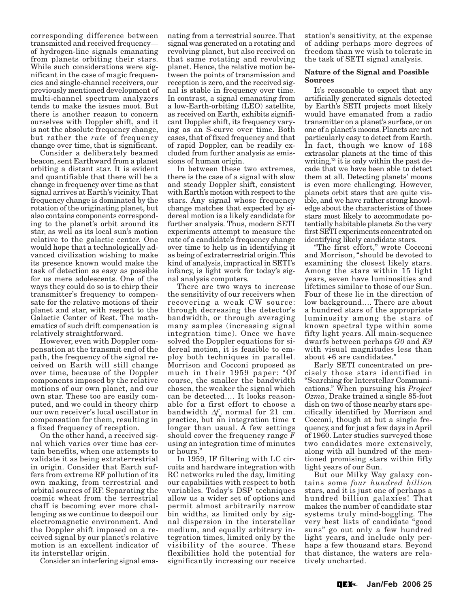corresponding difference between transmitted and received frequency of hydrogen-line signals emanating from planets orbiting their stars. While such considerations were significant in the case of magic frequencies and single-channel receivers, our previously mentioned development of multi-channel spectrum analyzers tends to make the issues moot. But there is another reason to concern ourselves with Doppler shift, and it is not the absolute frequency change, but rather the *rate* of frequency change over time, that is significant.

Consider a deliberately beamed beacon, sent Earthward from a planet orbiting a distant star. It is evident and quantifiable that there will be a change in frequency over time as that signal arrives at Earth's vicinity. That frequency change is dominated by the rotation of the originating planet, but also contains components corresponding to the planet's orbit around its star, as well as its local sun's motion relative to the galactic center. One would hope that a technologically advanced civilization wishing to make its presence known would make the task of detection as easy as possible for us mere adolescents. One of the ways they could do so is to chirp their transmitter's frequency to compensate for the relative motions of their planet and star, with respect to the Galactic Center of Rest. The mathematics of such drift compensation is relatively straightforward.

However, even with Doppler compensation at the transmit end of the path, the frequency of the signal received on Earth will still change over time, because of the Doppler components imposed by the relative motions of our own planet, and our own star. These too are easily computed, and we could in theory chirp our own receiver's local oscillator in compensation for them, resulting in a fixed frequency of reception.

On the other hand, a received signal which varies over time has certain benefits, when one attempts to validate it as being extraterrestrial in origin. Consider that Earth suffers from extreme RF pollution of its own making, from terrestrial and orbital sources of RF. Separating the cosmic wheat from the terrestrial chaff is becoming ever more challenging as we continue to despoil our electromagnetic environment. And the Doppler shift imposed on a received signal by our planet's relative motion is an excellent indicator of its interstellar origin.

Consider an interfering signal ema-

nating from a terrestrial source. That signal was generated on a rotating and revolving planet, but also received on that same rotating and revolving planet. Hence, the relative motion between the points of transmission and reception is zero, and the received signal is stable in frequency over time. In contrast, a signal emanating from a low-Earth-orbiting (LEO) satellite, as received on Earth, exhibits significant Doppler shift, its frequency varying as an S-curve over time. Both cases, that of fixed frequency and that of rapid Doppler, can be readily excluded from further analysis as emissions of human origin.

In between these two extremes, there is the case of a signal with slow and steady Doppler shift, consistent with Earth's motion with respect to the stars. Any signal whose frequency change matches that expected by sidereal motion is a likely candidate for further analysis. Thus, modern SETI experiments attempt to measure the rate of a candidate's frequency change over time to help us in identifying it as being of extraterrestrial origin. This kind of analysis, impractical in SETI's infancy, is light work for today's signal analysis computers.

There are two ways to increase the sensitivity of our receivers when recovering a weak CW source: through decreasing the detector's bandwidth, or through averaging many samples (increasing signal integration time). Once we have solved the Doppler equations for sidereal motion, it is feasible to employ both techniques in parallel. Morrison and Cocconi proposed as much in their 1959 paper: "Of course, the smaller the bandwidth chosen, the weaker the signal which can be detected…. It looks reasonable for a first effort to choose a bandwidth  $\Delta f$ <sub>d</sub> normal for 21 cm. practice, but an integration time τ longer than usual. A few settings should cover the frequency range *F* using an integration time of minutes or hours."

In 1959, IF filtering with LC circuits and hardware integration with RC networks ruled the day, limiting our capabilities with respect to both variables. Today's DSP techniques allow us a wider set of options and permit almost arbitrarily narrow bin widths, as limited only by signal dispersion in the interstellar medium, and equally arbitrary integration times, limited only by the visibility of the source. These flexibilities hold the potential for significantly increasing our receive station's sensitivity, at the expense of adding perhaps more degrees of freedom than we wish to tolerate in the task of SETI signal analysis.

### **Nature of the Signal and Possible Sources**

It's reasonable to expect that any artificially generated signals detected by Earth's SETI projects most likely would have emanated from a radio transmitter on a planet's surface, or on one of a planet's moons. Planets are not particularly easy to detect from Earth. In fact, though we know of 168 extrasolar planets at the time of this writing, $13$  it is only within the past decade that we have been able to detect them at all. Detecting planets' moons is even more challenging. However, planets orbit stars that are quite visible, and we have rather strong knowledge about the characteristics of those stars most likely to accommodate potentially habitable planets. So the very first SETI experiments concentrated on identifying likely candidate stars.

"The first effort," wrote Cocconi and Morrison, "should be devoted to examining the closest likely stars. Among the stars within 15 light years, seven have luminosities and lifetimes similar to those of our Sun. Four of these lie in the direction of low background…. There are about a hundred stars of the appropriate luminosity among the stars of known spectral type within some fifty light years. All main-sequence dwarfs between perhaps *G0* and *K9* with visual magnitudes less than about +6 are candidates."

Early SETI concentrated on precisely those stars identified in "Searching for Interstellar Communications." When pursuing his *Project Ozma*, Drake trained a single 85-foot dish on two of those nearby stars specifically identified by Morrison and Cocconi, though at but a single frequency, and for just a few days in April of 1960. Later studies surveyed those two candidates more extensively, along with all hundred of the mentioned promising stars within fifty light years of our Sun.

But our Milky Way galaxy contains some *four hundred billion* stars, and it is just one of perhaps a hundred billion galaxies! That makes the number of candidate star systems truly mind-boggling. The very best lists of candidate "good suns" go out only a few hundred light years, and include only perhaps a few thousand stars. Beyond that distance, the waters are relatively uncharted.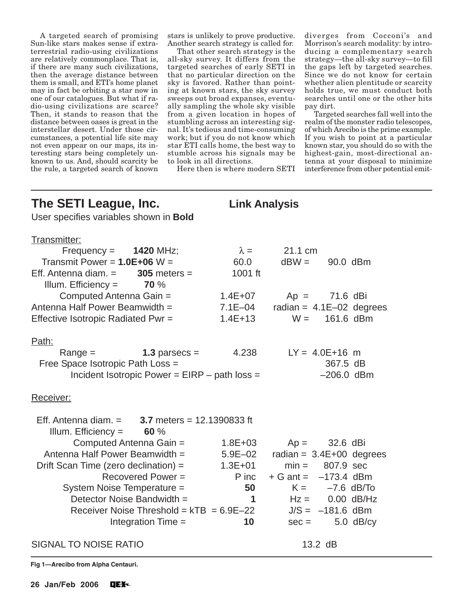A targeted search of promising Sun-like stars makes sense if extraterrestrial radio-using civilizations are relatively commonplace. That is, if there are many such civilizations, then the average distance between them is small, and ETI's home planet may in fact be orbiting a star now in one of our catalogues. But what if radio-using civilizations are scarce? Then, it stands to reason that the distance between oases is great in the interstellar desert. Under those circumstances, a potential life site may not even appear on our maps, its interesting stars being completely unknown to us. And, should scarcity be the rule, a targeted search of known

stars is unlikely to prove productive. Another search strategy is called for.

That other search strategy is the all-sky survey. It differs from the targeted searches of early SETI in that no particular direction on the sky is favored. Rather than pointing at known stars, the sky survey sweeps out broad expanses, eventually sampling the whole sky visible from a given location in hopes of stumbling across an interesting signal. It's tedious and time-consuming work; but if you do not know which star ETI calls home, the best way to stumble across his signals may be to look in all directions.

diverges from Cocconi's and Morrison's search modality: by introducing a complementary search strategy—the all-sky survey—to fill the gaps left by targeted searches. Since we do not know for certain whether alien plentitude or scarcity holds true, we must conduct both searches until one or the other hits pay dirt.

Targeted searches fall well into the realm of the monster radio telescopes, of which Arecibo is the prime example. If you wish to point at a particular known star, you should do so with the highest-gain, most-directional antenna at your disposal to minimize interference from other potential emit-

Here then is where modern SETI

# **The SETI League, Inc. Link Analysis**

User specifies variables shown in **Bold**

# Transmitter:

| Frequency = $1420 \text{ MHz}$ ;                                                  | $\lambda =$ | 21.1 cm |                            |
|-----------------------------------------------------------------------------------|-------------|---------|----------------------------|
| Transmit Power = $1.0E+06$ W =                                                    | 60.0        | $dBW =$ | 90.0 dBm                   |
| Eff. Antenna diam. $=$ 305 meters $=$                                             | 1001 ft     |         |                            |
| Illum. Efficiency = $70\%$                                                        |             |         |                            |
| Computed Antenna Gain =                                                           | 1.4E+07     |         | $Ap = 71.6 \text{ dBi}$    |
| Antenna Half Power Beamwidth =                                                    | 7.1E-04     |         | radian = $4.1E-02$ degrees |
| Effective Isotropic Radiated Pwr =                                                | $1.4E + 13$ | $W =$   | 161.6 dBm                  |
| Path:                                                                             |             |         |                            |
| Range = $1.3 \text{ parses} =$                                                    | 4.238       |         | $LY = 4.0E+16$ m           |
| Free Space Isotropic Path Loss =                                                  |             |         | 367.5 dB                   |
| Incident Isotropic Power = $EIRP - path loss =$                                   |             |         | $-206.0$ dBm               |
| Receiver:                                                                         |             |         |                            |
| Eff. Antenna diam. $=$ 3.7 meters $=$ 12.1390833 ft<br>Illum. Efficiency = $60\%$ |             |         |                            |
| Computed Antenna Gain =                                                           | 1.8E+03     |         | $Ap = 32.6$ dBi            |
| Antenna Half Power Beamwidth =                                                    | 5.9E-02     |         | radian = $3.4E+00$ degrees |
| Drift Scan Time (zero declination) =                                              | $1.3E + 01$ |         | $min = 807.9$ sec          |
| Recovered Power =                                                                 | P inc       |         | $+ G$ ant = $-173.4$ dBm   |
| System Noise Temperature =                                                        | 50          |         | $K = -7.6$ dB/To           |
| Detector Noise Bandwidth =                                                        | $\mathbf 1$ |         | $Hz = 0.00 dB/Hz$          |
| Receiver Noise Threshold = $kTB = 6.9E-22$                                        |             |         | $J/S = -181.6$ dBm         |
|                                                                                   |             |         |                            |
| Integration $Time =$                                                              | 10          | $sec =$ | $5.0$ dB/cy                |

SIGNAL TO NOISE RATIO 13.2 dB

**Fig 1—Arecibo from Alpha Centauri.**

**26 Jan/Feb 2006** DE<del>X</del>~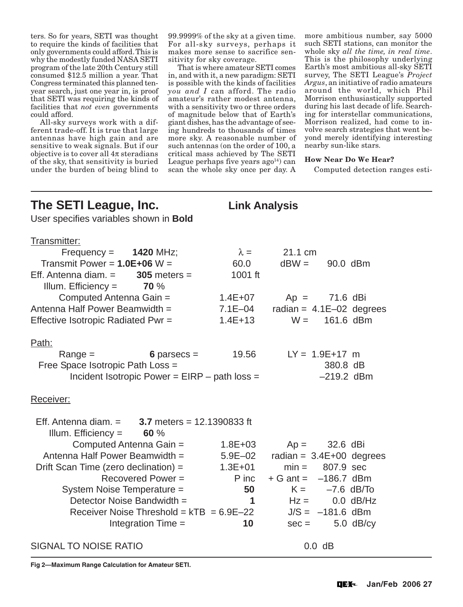ters. So for years, SETI was thought to require the kinds of facilities that only governments could afford. This is why the modestly funded NASA SETI program of the late 20th Century still consumed \$12.5 million a year. That Congress terminated this planned tenyear search, just one year in, is proof that SETI was requiring the kinds of facilities that *not even* governments could afford.

All-sky surveys work with a different trade-off. It is true that large antennas have high gain and are sensitive to weak signals. But if our objective is to cover all  $4\pi$  steradians of the sky, that sensitivity is buried under the burden of being blind to

99.9999% of the sky at a given time. For all-sky surveys, perhaps it makes more sense to sacrifice sensitivity for sky coverage.

That is where amateur SETI comes in, and with it, a new paradigm: SETI is possible with the kinds of facilities *you and I* can afford. The radio amateur's rather modest antenna, with a sensitivity two or three orders of magnitude below that of Earth's giant dishes, has the advantage of seeing hundreds to thousands of times more sky. A reasonable number of such antennas (on the order of 100, a critical mass achieved by The SETI League perhaps five years  $ago^{14}$  can scan the whole sky once per day. A

more ambitious number, say 5000 such SETI stations, can monitor the whole sky *all the time, in real time*. This is the philosophy underlying Earth's most ambitious all-sky SETI survey, The SETI League's *Project Argus*, an initiative of radio amateurs around the world, which Phil Morrison enthusiastically supported during his last decade of life. Searching for interstellar communications, Morrison realized, had come to involve search strategies that went beyond merely identifying interesting nearby sun-like stars.

## **How Near Do We Hear?**

Computed detection ranges esti-

# **The SETI League, Inc. Link Analysis**

User specifies variables shown in **Bold**

| Transmitter:                                    |               |             |                            |           |  |
|-------------------------------------------------|---------------|-------------|----------------------------|-----------|--|
| Frequency = $1420$ MHz;                         |               | $\lambda =$ | 21.1 cm                    |           |  |
| Transmit Power = $1.0E+06$ W =                  |               | 60.0        | $dBW = 90.0$ dBm           |           |  |
| Eff. Antenna diam. $=$ 305 meters $=$           |               | 1001 ft     |                            |           |  |
| Illum. Efficiency = $70\%$                      |               |             |                            |           |  |
| Computed Antenna Gain =                         |               | $1.4E + 07$ | $Ap = 71.6$ dBi            |           |  |
| Antenna Half Power Beamwidth =                  |               | $7.1E - 04$ | radian = $4.1E-02$ degrees |           |  |
| Effective Isotropic Radiated Pwr =              |               | $1.4E + 13$ | $W =$                      | 161.6 dBm |  |
| Path:                                           |               |             |                            |           |  |
| $Range =$                                       | 6 parsecs $=$ | 19.56       | $LY = 1.9E+17$ m           |           |  |
| Free Space Isotropic Path Loss =                |               |             |                            | 380.8 dB  |  |
| Incident Isotropic Power = $EIRP - path$ loss = |               |             | $-219.2$ dBm               |           |  |

# Receiver:

| Eff. Antenna diam. $=$ 3.7 meters $=$ 12.1390833 ft                                                 |             |                            |                      |             |
|-----------------------------------------------------------------------------------------------------|-------------|----------------------------|----------------------|-------------|
| Illum. Efficiency = $60\%$                                                                          |             |                            |                      |             |
| Computed Antenna Gain =                                                                             | $1.8E + 03$ | $Ap = 32.6$ dBi            |                      |             |
| Antenna Half Power Beamwidth =                                                                      | $5.9E - 02$ | radian = $3.4E+00$ degrees |                      |             |
| Drift Scan Time (zero declination) =                                                                | $1.3E + 01$ | $min = 807.9$ sec          |                      |             |
| Recovered Power =                                                                                   | P inc       | $+ G$ ant = $-186.7$ dBm   |                      |             |
| System Noise Temperature =                                                                          | 50          |                            | $K = -7.6$ dB/To     |             |
| Detector Noise Bandwidth =                                                                          | 1           |                            | $Hz = 0.0 dB/Hz$     |             |
| Receiver Noise Threshold = $kTB = 6.9E-22$                                                          |             |                            | $J/S = -181.6$ dBm   |             |
| Integration $Time =$                                                                                | 10          | $sec =$                    |                      | $5.0$ dB/cy |
| $\bigcap_{n=1}^{\infty}$ $\bigcap_{n=1}^{\infty}$ $\bigcap_{n=1}^{\infty}$ $\bigcap_{n=1}^{\infty}$ |             |                            | $\sim$ $\sim$ $\sim$ |             |

SIGNAL TO NOISE RATIO 0.0 dB

**Fig 2—Maximum Range Calculation for Amateur SETI.**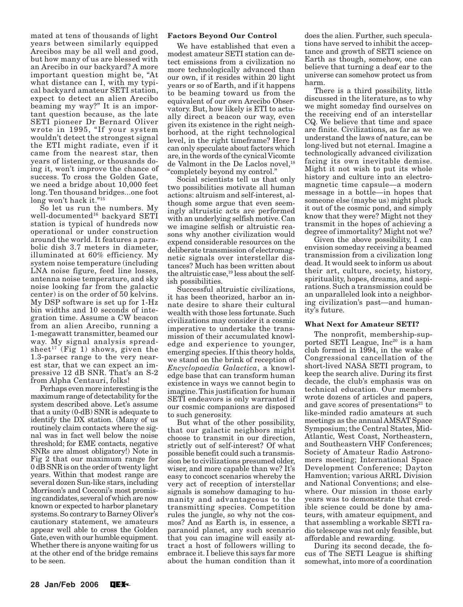mated at tens of thousands of light years between similarly equipped Arecibos may be all well and good, but how many of us are blessed with an Arecibo in our backyard? A more important question might be, "At what distance can I, with my typical backyard amateur SETI station, expect to detect an alien Arecibo beaming my way?" It is an important question because, as the late SETI pioneer Dr Bernard Oliver wrote in 1995, "If your system wouldn't detect the strongest signal the ETI might radiate, even if it came from the nearest star, then years of listening, or thousands doing it, won't improve the chance of success. To cross the Golden Gate, we need a bridge about 10,000 feet long. Ten thousand bridges...one foot long won't hack it."<sup>15</sup>

So let us run the numbers. My well-documented16 backyard SETI station is typical of hundreds now operational or under construction around the world. It features a parabolic dish 3.7 meters in diameter, illuminated at 60% efficiency. My system noise temperature (including LNA noise figure, feed line losses, antenna noise temperature, and sky noise looking far from the galactic center) is on the order of 50 kelvins. My DSP software is set up for 1-Hz bin widths and 10 seconds of integration time. Assume a CW beacon from an alien Arecibo, running a 1-megawatt transmitter, beamed our way. My signal analysis spreadsheet<sup>17</sup> (Fig 1) shows, given the 1.3-parsec range to the very nearest star, that we can expect an impressive 12 dB SNR. That's an S-2 from Alpha Centauri, folks!

Perhaps even more interesting is the maximum range of detectability for the system described above. Let's assume that a unity (0-dB) SNR is adequate to identify the DX station. (Many of us routinely claim contacts where the signal was in fact well below the noise threshold; for EME contacts, negative SNRs are almost obligatory!) Note in Fig 2 that our maximum range for 0 dB SNR is on the order of twenty light years. Within that modest range are several dozen Sun-like stars, including Morrison's and Cocconi's most promising candidates, several of which are now known or expected to harbor planetary systems. So contrary to Barney Oliver's cautionary statement, we amateurs appear well able to cross the Golden Gate, even with our humble equipment. Whether there is anyone waiting for us at the other end of the bridge remains to be seen.

## **Factors Beyond Our Control**

We have established that even a modest amateur SETI station can detect emissions from a civilization no more technologically advanced than our own, if it resides within 20 light years or so of Earth, and if it happens to be beaming toward us from the equivalent of our own Arecibo Observatory. But, how likely is ETI to actually direct a beacon our way, even given its existence in the right neighborhood, at the right technological level, in the right timeframe? Here I can only speculate about factors which are, in the words of the cynical Vicomte de Valmont in the De Laclos novel.<sup>18</sup> "completely beyond my control."

Social scientists tell us that only two possibilities motivate all human actions: altruism and self-interest, although some argue that even seemingly altruistic acts are performed with an underlying selfish motive. Can we imagine selfish or altruistic reasons why another civilization would expend considerable resources on the deliberate transmission of electromagnetic signals over interstellar distances? Much has been written about the altruistic case,<sup>19</sup> less about the selfish possibilities.

Successful altruistic civilizations, it has been theorized, harbor an innate desire to share their cultural wealth with those less fortunate. Such civilizations may consider it a cosmic imperative to undertake the transmission of their accumulated knowledge and experience to younger, emerging species. If this theory holds, we stand on the brink of reception of *Encyclopaedia Galactica*, a knowledge base that can transform human existence in ways we cannot begin to imagine. This justification for human SETI endeavors is only warranted if our cosmic companions are disposed to such generosity.

But what of the other possibility, that our galactic neighbors might choose to transmit in our direction, strictly out of self-interest? Of what possible benefit could such a transmission be to civilizations presumed older, wiser, and more capable than we? It's easy to concoct scenarios whereby the very act of reception of interstellar signals is somehow damaging to humanity and advantageous to the transmitting species. Competition rules the jungle, so why not the cosmos? And as Earth is, in essence, a paranoid planet, any such scenario that you can imagine will easily attract a host of followers willing to embrace it. I believe this says far more about the human condition than it does the alien. Further, such speculations have served to inhibit the acceptance and growth of SETI science on Earth as though, somehow, one can believe that turning a deaf ear to the universe can somehow protect us from harm.

There is a third possibility, little discussed in the literature, as to why we might someday find ourselves on the receiving end of an interstellar CQ. We believe that time and space are finite. Civilizations, as far as we understand the laws of nature, can be long-lived but not eternal. Imagine a technologically advanced civilization facing its own inevitable demise. Might it not wish to put its whole history and culture into an electromagnetic time capsule—a modern message in a bottle—in hopes that someone else (maybe us) might pluck it out of the cosmic pond, and simply know that they were? Might not they transmit in the hopes of achieving a degree of immortality? Might not we?

Given the above possibility, I can envision someday receiving a beamed transmission from a civilization long dead. It would seek to inform us about their art, culture, society, history, spirituality, hopes, dreams, and aspirations. Such a transmission could be an unparalleled look into a neighboring civilization's past—and humanity's future.

### **What Next for Amateur SETI?**

The nonprofit, membership-supported SETI League, Inc<sup>20</sup> is a ham club formed in 1994, in the wake of Congressional cancellation of the short-lived NASA SETI program, to keep the search alive. During its first decade, the club's emphasis was on technical education. Our members wrote dozens of articles and papers, and gave scores of presentations $21$  to like-minded radio amateurs at such meetings as the annual AMSAT Space Symposium; the Central States, Mid-Atlantic, West Coast, Northeastern, and Southeastern VHF Conferences; Society of Amateur Radio Astronomers meeting; International Space Development Conference; Dayton Hamvention; various ARRL Division and National Conventions; and elsewhere. Our mission in those early years was to demonstrate that credible science could be done by amateurs, with amateur equipment, and that assembling a workable SETI radio telescope was not only feasible, but affordable and rewarding.

During its second decade, the focus of The SETI League is shifting somewhat, into more of a coordination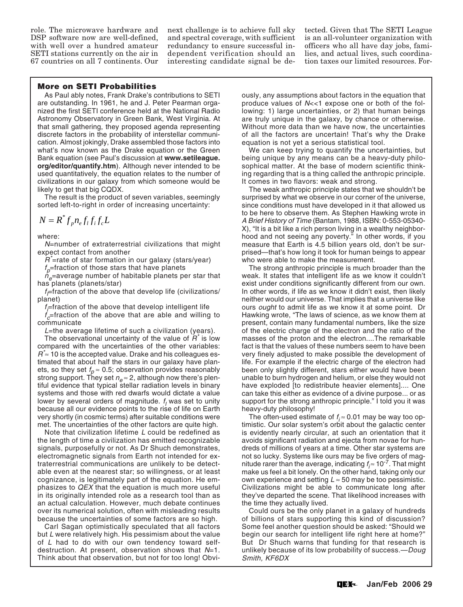role. The microwave hardware and DSP software now are well-defined, with well over a hundred amateur SETI stations currently on the air in 67 countries on all 7 continents. Our

next challenge is to achieve full sky and spectral coverage, with sufficient redundancy to ensure successful independent verification should an interesting candidate signal be detected. Given that The SETI League is an all-volunteer organization with officers who all have day jobs, families, and actual lives, such coordination taxes our limited resources. For-

### **More on SETI Probabilities**

As Paul ably notes, Frank Drake's contributions to SETI are outstanding. In 1961, he and J. Peter Pearman organized the first SETI conference held at the National Radio Astronomy Observatory in Green Bank, West Virginia. At that small gathering, they proposed agenda representing discrete factors in the probability of interstellar communication. Almost jokingly, Drake assembled those factors into what's now known as the Drake equation or the Green Bank equation (see Paul's discussion at **www.setileague. org/editor/quantify.htm**). Although never intended to be used quantitatively, the equation relates to the number of civilizations in our galaxy from which someone would be likely to get that big CQDX.

The result is the product of seven variables, seemingly sorted left-to-right in order of increasing uncertainty:

# $N = R^* f_n n_e f_l f_i f_c L$

where:

N=number of extraterrestrial civilizations that might expect contact from another

 $R^2$ =rate of star formation in our galaxy (stars/year)

 $f_p$ =fraction of those stars that have planets

 $n_{e}$ =average number of habitable planets per star that has planets (planets/star)

 $f_{\!\! \overline{F}}$ fraction of the above that develop life (civilizations/ planet)

 $f$ =fraction of the above that develop intelligent life

 $f_{c}$ =fraction of the above that are able and willing to communicate

L=the average lifetime of such a civilization (years).

The observational uncertainty of the value of  $R^{\hat{}}$  is low compared with the uncertainties of the other variables:  $R^{\tilde{}}\approx 10$  is the accepted value. Drake and his colleagues estimated that about half the stars in our galaxy have planets, so they set  $f_p \approx 0.5$ ; observation provides reasonably strong support. They set  $n_e \approx 2$ , although now there's plentiful evidence that typical stellar radiation levels in binary systems and those with red dwarfs would dictate a value lower by several orders of magnitude.  $f_{\textit{\text{f}}}$  was set to unity because all our evidence points to the rise of life on Earth very shortly (in cosmic terms) after suitable conditions were met. The uncertainties of the other factors are quite high.

Note that civilization lifetime L could be redefined as the length of time a civilization has emitted recognizable signals, purposefully or not. As Dr Shuch demonstrates, electromagnetic signals from Earth not intended for extraterrestrial communications are unlikely to be detectable even at the nearest star; so willingness, or at least cognizance, is legitimately part of the equation. He emphasizes to QEX that the equation is much more useful in its originally intended role as a research tool than as an actual calculation. However, much debate continues over its numerical solution, often with misleading results because the uncertainties of some factors are so high.

Carl Sagan optimistically speculated that all factors but L were relatively high. His pessimism about the value of L had to do with our own tendency toward selfdestruction. At present, observation shows that  $N=1$ . Think about that observation, but not for too long! Obvi-

ously, any assumptions about factors in the equation that produce values of N<<1 expose one or both of the following: 1) large uncertainties, or 2) that human beings are truly unique in the galaxy, by chance or otherwise. Without more data than we have now, the uncertainties of all the factors are uncertain! That's why the Drake equation is not yet a serious statistical tool.

We can keep trying to quantify the uncertainties, but being unique by any means can be a heavy-duty philosophical matter. At the base of modern scientific thinking regarding that is a thing called the anthropic principle. It comes in two flavors: weak and strong.

The weak anthropic principle states that we shouldn't be surprised by what we observe in our corner of the universe, since conditions must have developed in it that allowed us to be here to observe them. As Stephen Hawking wrote in A Brief History of Time (Bantam, 1988, ISBN: 0-553-05340- X), "It is a bit like a rich person living in a wealthy neighborhood and not seeing any poverty." In other words, if you measure that Earth is 4.5 billion years old, don't be surprised—that's how long it took for human beings to appear who were able to make the measurement.

The strong anthropic principle is much broader than the weak. It states that intelligent life as we know it couldn't exist under conditions significantly different from our own. In other words, if life as we know it didn't exist, then likely neither would our universe. That implies that a universe like ours *ought* to admit life as we know it at some point. Dr Hawking wrote, "The laws of science, as we know them at present, contain many fundamental numbers, like the size of the electric charge of the electron and the ratio of the masses of the proton and the electron....The remarkable fact is that the values of these numbers seem to have been very finely adjusted to make possible the development of life. For example if the electric charge of the electron had been only slightly different, stars either would have been unable to burn hydrogen and helium, or else they would not have exploded [to redistribute heavier elements].... One can take this either as evidence of a divine purpose... or as support for the strong anthropic principle." I told you it was heavy-duty philosophy!

The often-used estimate of  $f_i \approx 0.01$  may be way too optimistic. Our solar system's orbit about the galactic center is evidently nearly circular, at such an orientation that it avoids significant radiation and ejecta from novae for hundreds of millions of years at a time. Other star systems are not so lucky. Systems like ours may be five orders of magnitude rarer than the average, indicating  $f_i \approx 10^{-7}$ . That might make us feel a bit lonely. On the other hand, taking only our own experience and setting  $L \approx 50$  may be too pessimistic. Civilizations might be able to communicate long after they've departed the scene. That likelihood increases with the time they actually lived.

Could ours be the only planet in a galaxy of hundreds of billions of stars supporting this kind of discussion? Some feel another question should be asked: "Should we begin our search for intelligent life right here at home?" But Dr Shuch warns that funding for that research is unlikely because of its low probability of success.—Doug Smith, KF6DX